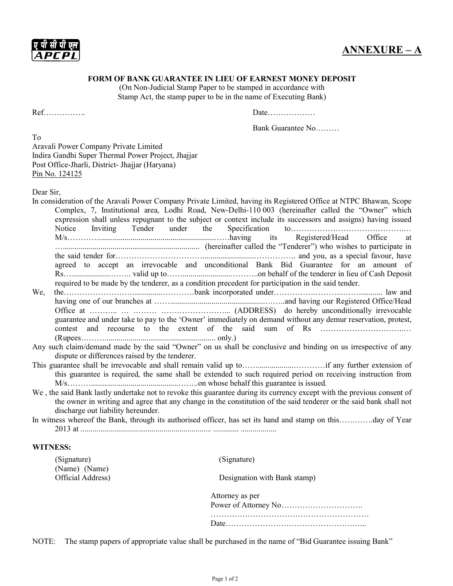ए पी सी पी एल APCPL

## ANNEXURE – A

## FORM OF BANK GUARANTEE IN LIEU OF EARNEST MONEY DEPOSIT

(On Non-Judicial Stamp Paper to be stamped in accordance with Stamp Act, the stamp paper to be in the name of Executing Bank)

Ref……………. Date………………

Bank Guarantee No………

To Aravali Power Company Private Limited Indira Gandhi Super Thermal Power Project, Jhajjar Post Office-Jharli, District- Jhajjar (Haryana) Pin No. 124125

Dear Sir,

|                                                                                                                                                                                                                                               |                                                                                                                | In consideration of the Aravali Power Company Private Limited, having its Registered Office at NTPC Bhawan, Scope<br>Complex, 7, Institutional area, Lodhi Road, New-Delhi-110 003 (hereinafter called the "Owner" which<br>expression shall unless repugnant to the subject or context include its successors and assigns) having issued |  |  |  |
|-----------------------------------------------------------------------------------------------------------------------------------------------------------------------------------------------------------------------------------------------|----------------------------------------------------------------------------------------------------------------|-------------------------------------------------------------------------------------------------------------------------------------------------------------------------------------------------------------------------------------------------------------------------------------------------------------------------------------------|--|--|--|
|                                                                                                                                                                                                                                               |                                                                                                                |                                                                                                                                                                                                                                                                                                                                           |  |  |  |
|                                                                                                                                                                                                                                               |                                                                                                                |                                                                                                                                                                                                                                                                                                                                           |  |  |  |
|                                                                                                                                                                                                                                               |                                                                                                                | (hereinafter called the "Tenderer") who wishes to participate in                                                                                                                                                                                                                                                                          |  |  |  |
|                                                                                                                                                                                                                                               |                                                                                                                |                                                                                                                                                                                                                                                                                                                                           |  |  |  |
|                                                                                                                                                                                                                                               |                                                                                                                | agreed to accept an irrevocable and unconditional Bank Bid Guarantee for an amount of                                                                                                                                                                                                                                                     |  |  |  |
|                                                                                                                                                                                                                                               |                                                                                                                |                                                                                                                                                                                                                                                                                                                                           |  |  |  |
|                                                                                                                                                                                                                                               |                                                                                                                | required to be made by the tenderer, as a condition precedent for participation in the said tender.                                                                                                                                                                                                                                       |  |  |  |
| We,                                                                                                                                                                                                                                           |                                                                                                                |                                                                                                                                                                                                                                                                                                                                           |  |  |  |
|                                                                                                                                                                                                                                               |                                                                                                                |                                                                                                                                                                                                                                                                                                                                           |  |  |  |
|                                                                                                                                                                                                                                               |                                                                                                                |                                                                                                                                                                                                                                                                                                                                           |  |  |  |
|                                                                                                                                                                                                                                               |                                                                                                                | guarantee and under take to pay to the 'Owner' immediately on demand without any demur reservation, protest,                                                                                                                                                                                                                              |  |  |  |
|                                                                                                                                                                                                                                               |                                                                                                                |                                                                                                                                                                                                                                                                                                                                           |  |  |  |
|                                                                                                                                                                                                                                               |                                                                                                                |                                                                                                                                                                                                                                                                                                                                           |  |  |  |
|                                                                                                                                                                                                                                               | Any such claim/demand made by the said "Owner" on us shall be conclusive and binding on us irrespective of any |                                                                                                                                                                                                                                                                                                                                           |  |  |  |
|                                                                                                                                                                                                                                               | dispute or differences raised by the tenderer.                                                                 |                                                                                                                                                                                                                                                                                                                                           |  |  |  |
|                                                                                                                                                                                                                                               |                                                                                                                |                                                                                                                                                                                                                                                                                                                                           |  |  |  |
|                                                                                                                                                                                                                                               |                                                                                                                | this guarantee is required, the same shall be extended to such required period on receiving instruction from                                                                                                                                                                                                                              |  |  |  |
| We, the said Bank lastly undertake not to revoke this guarantee during its currency except with the previous consent of<br>the owner in writing and agree that any change in the constitution of the said tenderer or the said bank shall not |                                                                                                                |                                                                                                                                                                                                                                                                                                                                           |  |  |  |
|                                                                                                                                                                                                                                               | discharge out liability hereunder.                                                                             |                                                                                                                                                                                                                                                                                                                                           |  |  |  |
| In witness whereof the Bank, through its authorised officer, has set its hand and stamp on thisday of Year                                                                                                                                    |                                                                                                                |                                                                                                                                                                                                                                                                                                                                           |  |  |  |
|                                                                                                                                                                                                                                               | <b>WITNESS:</b>                                                                                                |                                                                                                                                                                                                                                                                                                                                           |  |  |  |
|                                                                                                                                                                                                                                               | (Signature)                                                                                                    | (Signature)                                                                                                                                                                                                                                                                                                                               |  |  |  |
|                                                                                                                                                                                                                                               | (Name) (Name)                                                                                                  |                                                                                                                                                                                                                                                                                                                                           |  |  |  |
|                                                                                                                                                                                                                                               | Official Address)                                                                                              | Designation with Bank stamp)                                                                                                                                                                                                                                                                                                              |  |  |  |
|                                                                                                                                                                                                                                               |                                                                                                                | Attorney as per                                                                                                                                                                                                                                                                                                                           |  |  |  |
|                                                                                                                                                                                                                                               |                                                                                                                |                                                                                                                                                                                                                                                                                                                                           |  |  |  |
|                                                                                                                                                                                                                                               |                                                                                                                |                                                                                                                                                                                                                                                                                                                                           |  |  |  |
|                                                                                                                                                                                                                                               |                                                                                                                |                                                                                                                                                                                                                                                                                                                                           |  |  |  |
|                                                                                                                                                                                                                                               |                                                                                                                |                                                                                                                                                                                                                                                                                                                                           |  |  |  |

NOTE: The stamp papers of appropriate value shall be purchased in the name of "Bid Guarantee issuing Bank"